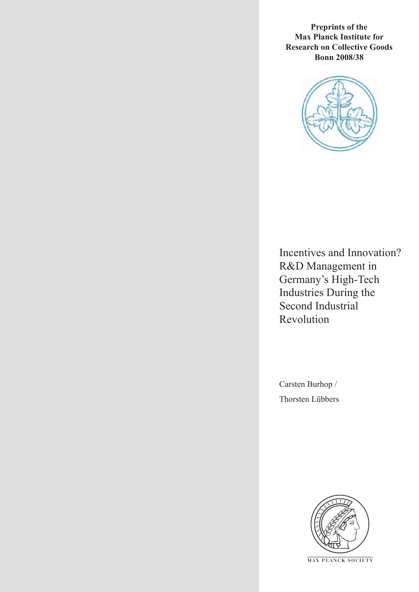**Preprints of the Max Planck Institute for Research on Collective Goods Bonn 2008/38**



Incentives and Innovation? R&D Management in Germany's High-Tech Industries During the Second Industrial Revolution

Carsten Burhop / Thorsten Lübbers



**M AX P L A N C K S O C I E T Y**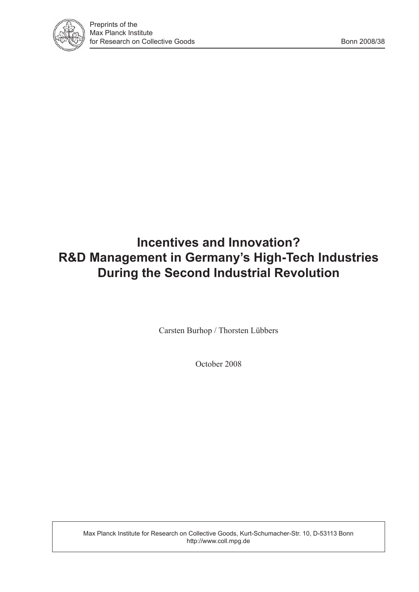

# **Incentives and Innovation? R&D Management in Germany's High-Tech Industries During the Second Industrial Revolution**

Carsten Burhop / Thorsten Lübbers

October 2008

Max Planck Institute for Research on Collective Goods, Kurt-Schumacher-Str. 10, D-53113 Bonn http://www.coll.mpg.de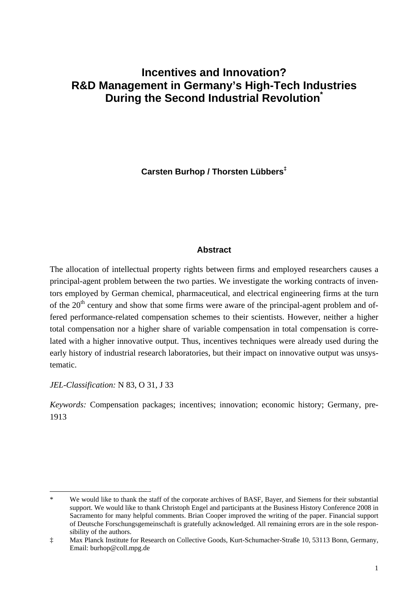# **Incentives and Innovation? R&D Management in Germany's High-Tech Industries During the Second Industrial Revolution\***

**Carsten Burhop / Thorsten Lübbers‡**

#### **Abstract**

The allocation of intellectual property rights between firms and employed researchers causes a principal-agent problem between the two parties. We investigate the working contracts of inventors employed by German chemical, pharmaceutical, and electrical engineering firms at the turn of the  $20<sup>th</sup>$  century and show that some firms were aware of the principal-agent problem and offered performance-related compensation schemes to their scientists. However, neither a higher total compensation nor a higher share of variable compensation in total compensation is correlated with a higher innovative output. Thus, incentives techniques were already used during the early history of industrial research laboratories, but their impact on innovative output was unsystematic.

*JEL-Classification:* N 83, O 31, J 33

j

*Keywords:* Compensation packages; incentives; innovation; economic history; Germany, pre-1913

<sup>\*</sup> We would like to thank the staff of the corporate archives of BASF, Bayer, and Siemens for their substantial support. We would like to thank Christoph Engel and participants at the Business History Conference 2008 in Sacramento for many helpful comments. Brian Cooper improved the writing of the paper. Financial support of Deutsche Forschungsgemeinschaft is gratefully acknowledged. All remaining errors are in the sole responsibility of the authors.

<sup>‡</sup> Max Planck Institute for Research on Collective Goods, Kurt-Schumacher-Straße 10, 53113 Bonn, Germany, Email: burhop@coll.mpg.de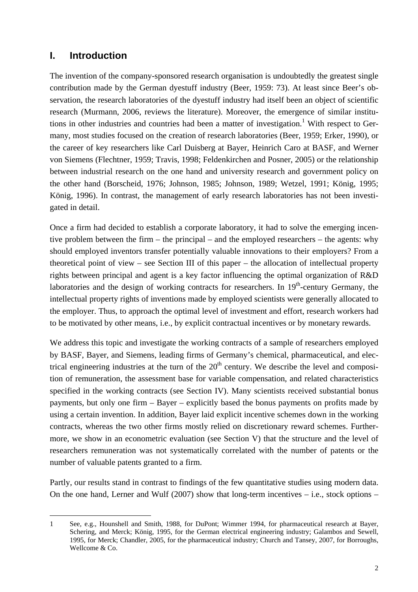### **I. Introduction**

The invention of the company-sponsored research organisation is undoubtedly the greatest single contribution made by the German dyestuff industry (Beer, 1959: 73). At least since Beer's observation, the research laboratories of the dyestuff industry had itself been an object of scientific research (Murmann, 2006, reviews the literature). Moreover, the emergence of similar institutions in other industries and countries had been a matter of investigation.<sup>1</sup> With respect to Germany, most studies focused on the creation of research laboratories (Beer, 1959; Erker, 1990), or the career of key researchers like Carl Duisberg at Bayer, Heinrich Caro at BASF, and Werner von Siemens (Flechtner, 1959; Travis, 1998; Feldenkirchen and Posner, 2005) or the relationship between industrial research on the one hand and university research and government policy on the other hand (Borscheid, 1976; Johnson, 1985; Johnson, 1989; Wetzel, 1991; König, 1995; König, 1996). In contrast, the management of early research laboratories has not been investigated in detail.

Once a firm had decided to establish a corporate laboratory, it had to solve the emerging incentive problem between the firm – the principal – and the employed researchers – the agents: why should employed inventors transfer potentially valuable innovations to their employers? From a theoretical point of view – see Section III of this paper – the allocation of intellectual property rights between principal and agent is a key factor influencing the optimal organization of R&D laboratories and the design of working contracts for researchers. In 19<sup>th</sup>-century Germany, the intellectual property rights of inventions made by employed scientists were generally allocated to the employer. Thus, to approach the optimal level of investment and effort, research workers had to be motivated by other means, i.e., by explicit contractual incentives or by monetary rewards.

We address this topic and investigate the working contracts of a sample of researchers employed by BASF, Bayer, and Siemens, leading firms of Germany's chemical, pharmaceutical, and electrical engineering industries at the turn of the  $20<sup>th</sup>$  century. We describe the level and composition of remuneration, the assessment base for variable compensation, and related characteristics specified in the working contracts (see Section IV). Many scientists received substantial bonus payments, but only one firm – Bayer – explicitly based the bonus payments on profits made by using a certain invention. In addition, Bayer laid explicit incentive schemes down in the working contracts, whereas the two other firms mostly relied on discretionary reward schemes. Furthermore, we show in an econometric evaluation (see Section V) that the structure and the level of researchers remuneration was not systematically correlated with the number of patents or the number of valuable patents granted to a firm.

Partly, our results stand in contrast to findings of the few quantitative studies using modern data. On the one hand, Lerner and Wulf  $(2007)$  show that long-term incentives – i.e., stock options –

j 1 See, e.g., Hounshell and Smith, 1988, for DuPont; Wimmer 1994, for pharmaceutical research at Bayer, Schering, and Merck; König, 1995, for the German electrical engineering industry; Galambos and Sewell, 1995, for Merck; Chandler, 2005, for the pharmaceutical industry; Church and Tansey, 2007, for Borroughs, Wellcome & Co.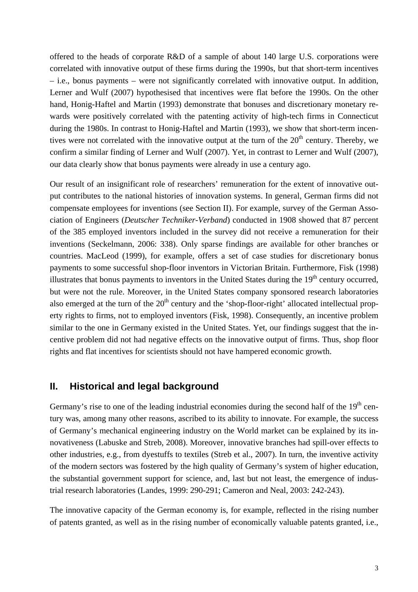offered to the heads of corporate R&D of a sample of about 140 large U.S. corporations were correlated with innovative output of these firms during the 1990s, but that short-term incentives – i.e., bonus payments – were not significantly correlated with innovative output. In addition, Lerner and Wulf (2007) hypothesised that incentives were flat before the 1990s. On the other hand, Honig-Haftel and Martin (1993) demonstrate that bonuses and discretionary monetary rewards were positively correlated with the patenting activity of high-tech firms in Connecticut during the 1980s. In contrast to Honig-Haftel and Martin (1993), we show that short-term incentives were not correlated with the innovative output at the turn of the  $20<sup>th</sup>$  century. Thereby, we confirm a similar finding of Lerner and Wulf (2007). Yet, in contrast to Lerner and Wulf (2007), our data clearly show that bonus payments were already in use a century ago.

Our result of an insignificant role of researchers' remuneration for the extent of innovative output contributes to the national histories of innovation systems. In general, German firms did not compensate employees for inventions (see Section II). For example, survey of the German Association of Engineers (*Deutscher Techniker-Verband*) conducted in 1908 showed that 87 percent of the 385 employed inventors included in the survey did not receive a remuneration for their inventions (Seckelmann, 2006: 338). Only sparse findings are available for other branches or countries. MacLeod (1999), for example, offers a set of case studies for discretionary bonus payments to some successful shop-floor inventors in Victorian Britain. Furthermore, Fisk (1998) illustrates that bonus payments to inventors in the United States during the  $19<sup>th</sup>$  century occurred. but were not the rule. Moreover, in the United States company sponsored research laboratories also emerged at the turn of the  $20<sup>th</sup>$  century and the 'shop-floor-right' allocated intellectual property rights to firms, not to employed inventors (Fisk, 1998). Consequently, an incentive problem similar to the one in Germany existed in the United States. Yet, our findings suggest that the incentive problem did not had negative effects on the innovative output of firms. Thus, shop floor rights and flat incentives for scientists should not have hampered economic growth.

#### **II. Historical and legal background**

Germany's rise to one of the leading industrial economies during the second half of the  $19<sup>th</sup>$  century was, among many other reasons, ascribed to its ability to innovate. For example, the success of Germany's mechanical engineering industry on the World market can be explained by its innovativeness (Labuske and Streb, 2008). Moreover, innovative branches had spill-over effects to other industries, e.g., from dyestuffs to textiles (Streb et al., 2007). In turn, the inventive activity of the modern sectors was fostered by the high quality of Germany's system of higher education, the substantial government support for science, and, last but not least, the emergence of industrial research laboratories (Landes, 1999: 290-291; Cameron and Neal, 2003: 242-243).

The innovative capacity of the German economy is, for example, reflected in the rising number of patents granted, as well as in the rising number of economically valuable patents granted, i.e.,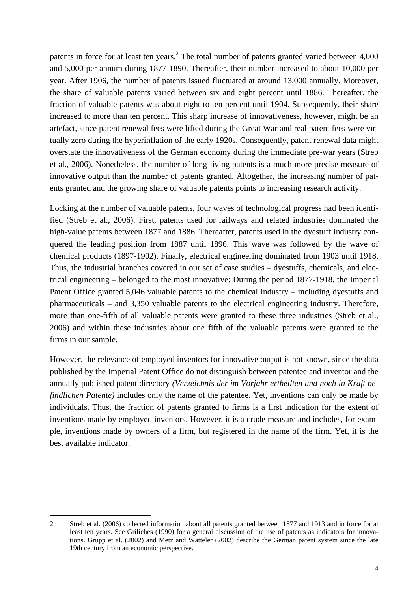patents in force for at least ten years.<sup>2</sup> The total number of patents granted varied between  $4,000$ and 5,000 per annum during 1877-1890. Thereafter, their number increased to about 10,000 per year. After 1906, the number of patents issued fluctuated at around 13,000 annually. Moreover, the share of valuable patents varied between six and eight percent until 1886. Thereafter, the fraction of valuable patents was about eight to ten percent until 1904. Subsequently, their share increased to more than ten percent. This sharp increase of innovativeness, however, might be an artefact, since patent renewal fees were lifted during the Great War and real patent fees were virtually zero during the hyperinflation of the early 1920s. Consequently, patent renewal data might overstate the innovativeness of the German economy during the immediate pre-war years (Streb et al., 2006). Nonetheless, the number of long-living patents is a much more precise measure of innovative output than the number of patents granted. Altogether, the increasing number of patents granted and the growing share of valuable patents points to increasing research activity.

Locking at the number of valuable patents, four waves of technological progress had been identified (Streb et al., 2006). First, patents used for railways and related industries dominated the high-value patents between 1877 and 1886. Thereafter, patents used in the dyestuff industry conquered the leading position from 1887 until 1896. This wave was followed by the wave of chemical products (1897-1902). Finally, electrical engineering dominated from 1903 until 1918. Thus, the industrial branches covered in our set of case studies – dyestuffs, chemicals, and electrical engineering – belonged to the most innovative: During the period 1877-1918, the Imperial Patent Office granted 5,046 valuable patents to the chemical industry – including dyestuffs and pharmaceuticals – and 3,350 valuable patents to the electrical engineering industry. Therefore, more than one-fifth of all valuable patents were granted to these three industries (Streb et al., 2006) and within these industries about one fifth of the valuable patents were granted to the firms in our sample.

However, the relevance of employed inventors for innovative output is not known, since the data published by the Imperial Patent Office do not distinguish between patentee and inventor and the annually published patent directory *(Verzeichnis der im Vorjahr ertheilten und noch in Kraft befindlichen Patente)* includes only the name of the patentee. Yet, inventions can only be made by individuals. Thus, the fraction of patents granted to firms is a first indication for the extent of inventions made by employed inventors. However, it is a crude measure and includes, for example, inventions made by owners of a firm, but registered in the name of the firm. Yet, it is the best available indicator.

j

<sup>2</sup> Streb et al. (2006) collected information about all patents granted between 1877 and 1913 and in force for at least ten years. See Griliches (1990) for a general discussion of the use of patents as indicators for innovations. Grupp et al. (2002) and Metz and Watteler (2002) describe the German patent system since the late 19th century from an economic perspective.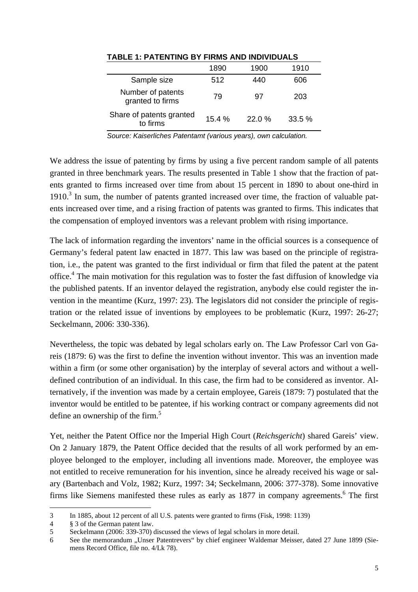| TABLE 1: PATENTING BY FIRMS AND INDIVIDUALS |       |       |       |
|---------------------------------------------|-------|-------|-------|
|                                             | 1890  | 1900  | 1910  |
| Sample size                                 | 512   | 440   | 606   |
| Number of patents<br>granted to firms       | 79    | 97    | 203   |
| Share of patents granted<br>to firms        | 15.4% | 22.0% | 33.5% |

*Source: Kaiserliches Patentamt (various years), own calculation.* 

We address the issue of patenting by firms by using a five percent random sample of all patents granted in three benchmark years. The results presented in Table 1 show that the fraction of patents granted to firms increased over time from about 15 percent in 1890 to about one-third in 1910.<sup>3</sup> In sum, the number of patents granted increased over time, the fraction of valuable patents increased over time, and a rising fraction of patents was granted to firms. This indicates that the compensation of employed inventors was a relevant problem with rising importance.

The lack of information regarding the inventors' name in the official sources is a consequence of Germany's federal patent law enacted in 1877. This law was based on the principle of registration, i.e., the patent was granted to the first individual or firm that filed the patent at the patent office.<sup>4</sup> The main motivation for this regulation was to foster the fast diffusion of knowledge via the published patents. If an inventor delayed the registration, anybody else could register the invention in the meantime (Kurz, 1997: 23). The legislators did not consider the principle of registration or the related issue of inventions by employees to be problematic (Kurz, 1997: 26-27; Seckelmann, 2006: 330-336).

Nevertheless, the topic was debated by legal scholars early on. The Law Professor Carl von Gareis (1879: 6) was the first to define the invention without inventor. This was an invention made within a firm (or some other organisation) by the interplay of several actors and without a welldefined contribution of an individual. In this case, the firm had to be considered as inventor. Alternatively, if the invention was made by a certain employee, Gareis (1879: 7) postulated that the inventor would be entitled to be patentee, if his working contract or company agreements did not define an ownership of the firm.<sup>5</sup>

Yet, neither the Patent Office nor the Imperial High Court (*Reichsgericht*) shared Gareis' view. On 2 January 1879, the Patent Office decided that the results of all work performed by an employee belonged to the employer, including all inventions made. Moreover, the employee was not entitled to receive remuneration for his invention, since he already received his wage or salary (Bartenbach and Volz, 1982; Kurz, 1997: 34; Seckelmann, 2006: 377-378). Some innovative firms like Siemens manifested these rules as early as 1877 in company agreements.<sup>6</sup> The first

 $\overline{a}$ 

<sup>3</sup> In 1885, about 12 percent of all U.S. patents were granted to firms (Fisk, 1998: 1139)

<sup>4 § 3</sup> of the German patent law.

<sup>5</sup> Seckelmann (2006: 339-370) discussed the views of legal scholars in more detail.

<sup>6</sup> See the memorandum "Unser Patentrevers" by chief engineer Waldemar Meisser, dated 27 June 1899 (Siemens Record Office, file no. 4/Lk 78).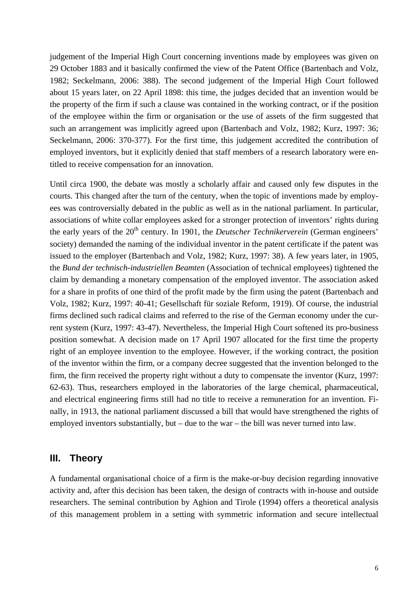judgement of the Imperial High Court concerning inventions made by employees was given on 29 October 1883 and it basically confirmed the view of the Patent Office (Bartenbach and Volz, 1982; Seckelmann, 2006: 388). The second judgement of the Imperial High Court followed about 15 years later, on 22 April 1898: this time, the judges decided that an invention would be the property of the firm if such a clause was contained in the working contract, or if the position of the employee within the firm or organisation or the use of assets of the firm suggested that such an arrangement was implicitly agreed upon (Bartenbach and Volz, 1982; Kurz, 1997: 36; Seckelmann, 2006: 370-377). For the first time, this judgement accredited the contribution of employed inventors, but it explicitly denied that staff members of a research laboratory were entitled to receive compensation for an innovation.

Until circa 1900, the debate was mostly a scholarly affair and caused only few disputes in the courts. This changed after the turn of the century, when the topic of inventions made by employees was controversially debated in the public as well as in the national parliament. In particular, associations of white collar employees asked for a stronger protection of inventors' rights during the early years of the 20<sup>th</sup> century. In 1901, the *Deutscher Technikerverein* (German engineers' society) demanded the naming of the individual inventor in the patent certificate if the patent was issued to the employer (Bartenbach and Volz, 1982; Kurz, 1997: 38). A few years later, in 1905, the *Bund der technisch-industriellen Beamten* (Association of technical employees) tightened the claim by demanding a monetary compensation of the employed inventor. The association asked for a share in profits of one third of the profit made by the firm using the patent (Bartenbach and Volz, 1982; Kurz, 1997: 40-41; Gesellschaft für soziale Reform, 1919). Of course, the industrial firms declined such radical claims and referred to the rise of the German economy under the current system (Kurz, 1997: 43-47). Nevertheless, the Imperial High Court softened its pro-business position somewhat. A decision made on 17 April 1907 allocated for the first time the property right of an employee invention to the employee. However, if the working contract, the position of the inventor within the firm, or a company decree suggested that the invention belonged to the firm, the firm received the property right without a duty to compensate the inventor (Kurz, 1997: 62-63). Thus, researchers employed in the laboratories of the large chemical, pharmaceutical, and electrical engineering firms still had no title to receive a remuneration for an invention. Finally, in 1913, the national parliament discussed a bill that would have strengthened the rights of employed inventors substantially, but – due to the war – the bill was never turned into law.

#### **III. Theory**

A fundamental organisational choice of a firm is the make-or-buy decision regarding innovative activity and, after this decision has been taken, the design of contracts with in-house and outside researchers. The seminal contribution by Aghion and Tirole (1994) offers a theoretical analysis of this management problem in a setting with symmetric information and secure intellectual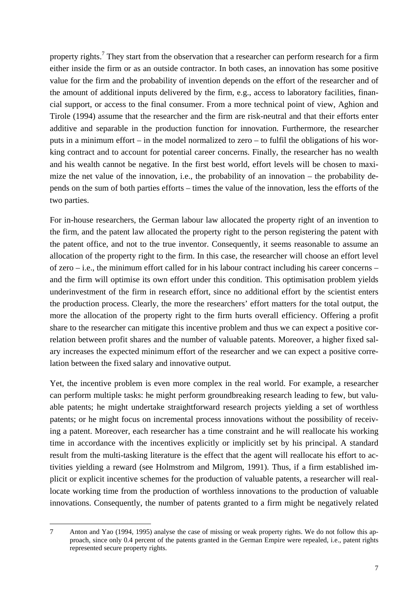property rights.<sup>7</sup> They start from the observation that a researcher can perform research for a firm either inside the firm or as an outside contractor. In both cases, an innovation has some positive value for the firm and the probability of invention depends on the effort of the researcher and of the amount of additional inputs delivered by the firm, e.g., access to laboratory facilities, financial support, or access to the final consumer. From a more technical point of view, Aghion and Tirole (1994) assume that the researcher and the firm are risk-neutral and that their efforts enter additive and separable in the production function for innovation. Furthermore, the researcher puts in a minimum effort – in the model normalized to zero – to fulfil the obligations of his working contract and to account for potential career concerns. Finally, the researcher has no wealth and his wealth cannot be negative. In the first best world, effort levels will be chosen to maximize the net value of the innovation, i.e., the probability of an innovation – the probability depends on the sum of both parties efforts – times the value of the innovation, less the efforts of the two parties.

For in-house researchers, the German labour law allocated the property right of an invention to the firm, and the patent law allocated the property right to the person registering the patent with the patent office, and not to the true inventor. Consequently, it seems reasonable to assume an allocation of the property right to the firm. In this case, the researcher will choose an effort level of zero – i.e., the minimum effort called for in his labour contract including his career concerns – and the firm will optimise its own effort under this condition. This optimisation problem yields underinvestment of the firm in research effort, since no additional effort by the scientist enters the production process. Clearly, the more the researchers' effort matters for the total output, the more the allocation of the property right to the firm hurts overall efficiency. Offering a profit share to the researcher can mitigate this incentive problem and thus we can expect a positive correlation between profit shares and the number of valuable patents. Moreover, a higher fixed salary increases the expected minimum effort of the researcher and we can expect a positive correlation between the fixed salary and innovative output.

Yet, the incentive problem is even more complex in the real world. For example, a researcher can perform multiple tasks: he might perform groundbreaking research leading to few, but valuable patents; he might undertake straightforward research projects yielding a set of worthless patents; or he might focus on incremental process innovations without the possibility of receiving a patent. Moreover, each researcher has a time constraint and he will reallocate his working time in accordance with the incentives explicitly or implicitly set by his principal. A standard result from the multi-tasking literature is the effect that the agent will reallocate his effort to activities yielding a reward (see Holmstrom and Milgrom, 1991). Thus, if a firm established implicit or explicit incentive schemes for the production of valuable patents, a researcher will reallocate working time from the production of worthless innovations to the production of valuable innovations. Consequently, the number of patents granted to a firm might be negatively related

<sup>-</sup>7 Anton and Yao (1994, 1995) analyse the case of missing or weak property rights. We do not follow this approach, since only 0.4 percent of the patents granted in the German Empire were repealed, i.e., patent rights represented secure property rights.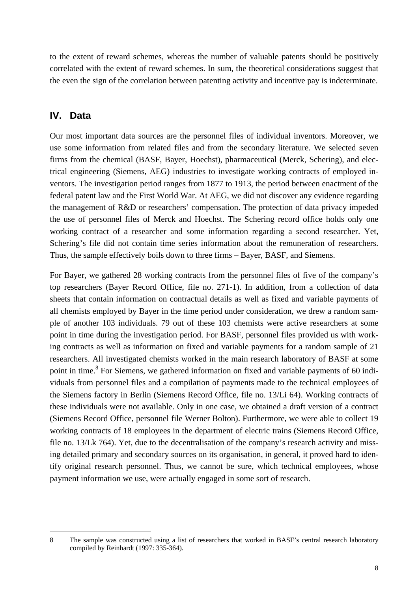to the extent of reward schemes, whereas the number of valuable patents should be positively correlated with the extent of reward schemes. In sum, the theoretical considerations suggest that the even the sign of the correlation between patenting activity and incentive pay is indeterminate.

# **IV. Data**

 $\overline{a}$ 

Our most important data sources are the personnel files of individual inventors. Moreover, we use some information from related files and from the secondary literature. We selected seven firms from the chemical (BASF, Bayer, Hoechst), pharmaceutical (Merck, Schering), and electrical engineering (Siemens, AEG) industries to investigate working contracts of employed inventors. The investigation period ranges from 1877 to 1913, the period between enactment of the federal patent law and the First World War. At AEG, we did not discover any evidence regarding the management of R&D or researchers' compensation. The protection of data privacy impeded the use of personnel files of Merck and Hoechst. The Schering record office holds only one working contract of a researcher and some information regarding a second researcher. Yet, Schering's file did not contain time series information about the remuneration of researchers. Thus, the sample effectively boils down to three firms – Bayer, BASF, and Siemens.

For Bayer, we gathered 28 working contracts from the personnel files of five of the company's top researchers (Bayer Record Office, file no. 271-1). In addition, from a collection of data sheets that contain information on contractual details as well as fixed and variable payments of all chemists employed by Bayer in the time period under consideration, we drew a random sample of another 103 individuals. 79 out of these 103 chemists were active researchers at some point in time during the investigation period. For BASF, personnel files provided us with working contracts as well as information on fixed and variable payments for a random sample of 21 researchers. All investigated chemists worked in the main research laboratory of BASF at some point in time.<sup>8</sup> For Siemens, we gathered information on fixed and variable payments of 60 individuals from personnel files and a compilation of payments made to the technical employees of the Siemens factory in Berlin (Siemens Record Office, file no. 13/Li 64). Working contracts of these individuals were not available. Only in one case, we obtained a draft version of a contract (Siemens Record Office, personnel file Werner Bolton). Furthermore, we were able to collect 19 working contracts of 18 employees in the department of electric trains (Siemens Record Office, file no. 13/Lk 764). Yet, due to the decentralisation of the company's research activity and missing detailed primary and secondary sources on its organisation, in general, it proved hard to identify original research personnel. Thus, we cannot be sure, which technical employees, whose payment information we use, were actually engaged in some sort of research.

<sup>8</sup> The sample was constructed using a list of researchers that worked in BASF's central research laboratory compiled by Reinhardt (1997: 335-364).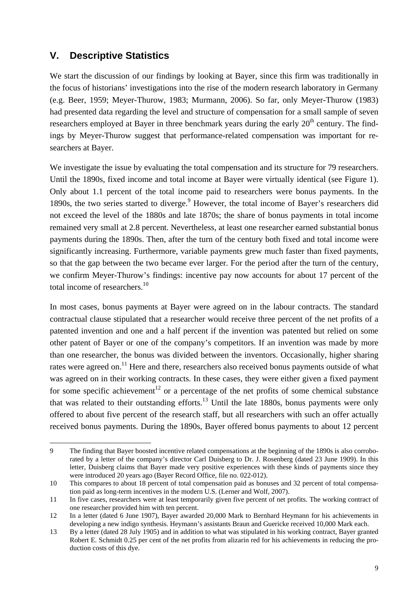# **V. Descriptive Statistics**

We start the discussion of our findings by looking at Bayer, since this firm was traditionally in the focus of historians' investigations into the rise of the modern research laboratory in Germany (e.g. Beer, 1959; Meyer-Thurow, 1983; Murmann, 2006). So far, only Meyer-Thurow (1983) had presented data regarding the level and structure of compensation for a small sample of seven researchers employed at Bayer in three benchmark years during the early  $20<sup>th</sup>$  century. The findings by Meyer-Thurow suggest that performance-related compensation was important for researchers at Bayer.

We investigate the issue by evaluating the total compensation and its structure for 79 researchers. Until the 1890s, fixed income and total income at Bayer were virtually identical (see Figure 1). Only about 1.1 percent of the total income paid to researchers were bonus payments. In the 1890s, the two series started to diverge.<sup>9</sup> However, the total income of Bayer's researchers did not exceed the level of the 1880s and late 1870s; the share of bonus payments in total income remained very small at 2.8 percent. Nevertheless, at least one researcher earned substantial bonus payments during the 1890s. Then, after the turn of the century both fixed and total income were significantly increasing. Furthermore, variable payments grew much faster than fixed payments, so that the gap between the two became ever larger. For the period after the turn of the century, we confirm Meyer-Thurow's findings: incentive pay now accounts for about 17 percent of the total income of researchers.<sup>10</sup>

In most cases, bonus payments at Bayer were agreed on in the labour contracts. The standard contractual clause stipulated that a researcher would receive three percent of the net profits of a patented invention and one and a half percent if the invention was patented but relied on some other patent of Bayer or one of the company's competitors. If an invention was made by more than one researcher, the bonus was divided between the inventors. Occasionally, higher sharing rates were agreed on.<sup>11</sup> Here and there, researchers also received bonus payments outside of what was agreed on in their working contracts. In these cases, they were either given a fixed payment for some specific achievement<sup>12</sup> or a percentage of the net profits of some chemical substance that was related to their outstanding efforts.<sup>13</sup> Until the late 1880s, bonus payments were only offered to about five percent of the research staff, but all researchers with such an offer actually received bonus payments. During the 1890s, Bayer offered bonus payments to about 12 percent

j 9 The finding that Bayer boosted incentive related compensations at the beginning of the 1890s is also corroborated by a letter of the company's director Carl Duisberg to Dr. J. Rosenberg (dated 23 June 1909). In this letter, Duisberg claims that Bayer made very positive experiences with these kinds of payments since they were introduced 20 years ago (Bayer Record Office, file no. 022-012).

<sup>10</sup> This compares to about 18 percent of total compensation paid as bonuses and 32 percent of total compensation paid as long-term incentives in the modern U.S. (Lerner and Wolf, 2007).

<sup>11</sup> In five cases, researchers were at least temporarily given five percent of net profits. The working contract of one researcher provided him with ten percent.

<sup>12</sup> In a letter (dated 6 June 1907), Bayer awarded 20,000 Mark to Bernhard Heymann for his achievements in developing a new indigo synthesis. Heymann's assistants Braun and Guericke received 10,000 Mark each.

<sup>13</sup> By a letter (dated 28 July 1905) and in addition to what was stipulated in his working contract, Bayer granted Robert E. Schmidt 0.25 per cent of the net profits from alizarin red for his achievements in reducing the production costs of this dye.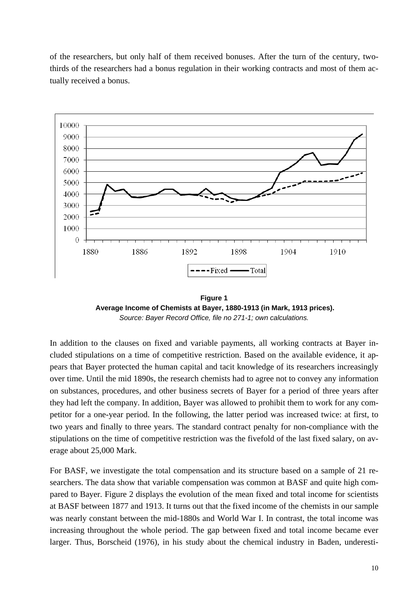of the researchers, but only half of them received bonuses. After the turn of the century, twothirds of the researchers had a bonus regulation in their working contracts and most of them actually received a bonus.



**Figure 1 Average Income of Chemists at Bayer, 1880-1913 (in Mark, 1913 prices).**  *Source: Bayer Record Office, file no 271-1; own calculations.* 

In addition to the clauses on fixed and variable payments, all working contracts at Bayer included stipulations on a time of competitive restriction. Based on the available evidence, it appears that Bayer protected the human capital and tacit knowledge of its researchers increasingly over time. Until the mid 1890s, the research chemists had to agree not to convey any information on substances, procedures, and other business secrets of Bayer for a period of three years after they had left the company. In addition, Bayer was allowed to prohibit them to work for any competitor for a one-year period. In the following, the latter period was increased twice: at first, to two years and finally to three years. The standard contract penalty for non-compliance with the stipulations on the time of competitive restriction was the fivefold of the last fixed salary, on average about 25,000 Mark.

For BASF, we investigate the total compensation and its structure based on a sample of 21 researchers. The data show that variable compensation was common at BASF and quite high compared to Bayer. Figure 2 displays the evolution of the mean fixed and total income for scientists at BASF between 1877 and 1913. It turns out that the fixed income of the chemists in our sample was nearly constant between the mid-1880s and World War I. In contrast, the total income was increasing throughout the whole period. The gap between fixed and total income became ever larger. Thus, Borscheid (1976), in his study about the chemical industry in Baden, underesti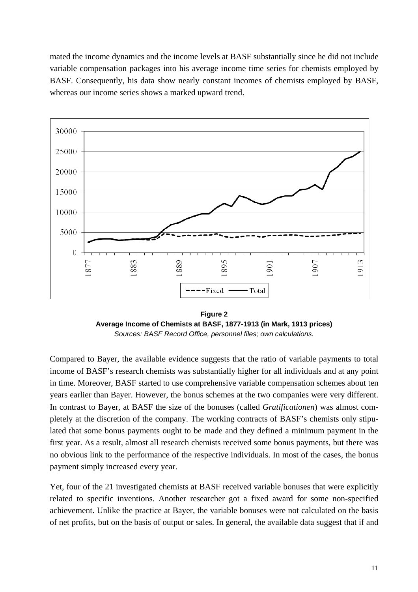mated the income dynamics and the income levels at BASF substantially since he did not include variable compensation packages into his average income time series for chemists employed by BASF. Consequently, his data show nearly constant incomes of chemists employed by BASF, whereas our income series shows a marked upward trend.



**Figure 2 Average Income of Chemists at BASF, 1877-1913 (in Mark, 1913 prices)**  *Sources: BASF Record Office, personnel files; own calculations.* 

Compared to Bayer, the available evidence suggests that the ratio of variable payments to total income of BASF's research chemists was substantially higher for all individuals and at any point in time. Moreover, BASF started to use comprehensive variable compensation schemes about ten years earlier than Bayer. However, the bonus schemes at the two companies were very different. In contrast to Bayer, at BASF the size of the bonuses (called *Gratificationen*) was almost completely at the discretion of the company. The working contracts of BASF's chemists only stipulated that some bonus payments ought to be made and they defined a minimum payment in the first year. As a result, almost all research chemists received some bonus payments, but there was no obvious link to the performance of the respective individuals. In most of the cases, the bonus payment simply increased every year.

Yet, four of the 21 investigated chemists at BASF received variable bonuses that were explicitly related to specific inventions. Another researcher got a fixed award for some non-specified achievement. Unlike the practice at Bayer, the variable bonuses were not calculated on the basis of net profits, but on the basis of output or sales. In general, the available data suggest that if and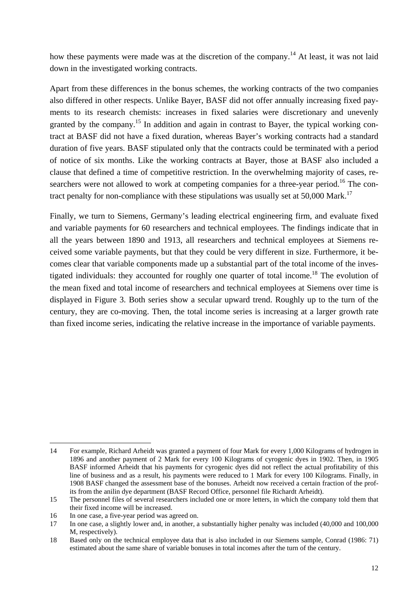how these payments were made was at the discretion of the company.<sup>14</sup> At least, it was not laid down in the investigated working contracts.

Apart from these differences in the bonus schemes, the working contracts of the two companies also differed in other respects. Unlike Bayer, BASF did not offer annually increasing fixed payments to its research chemists: increases in fixed salaries were discretionary and unevenly granted by the company.<sup>15</sup> In addition and again in contrast to Bayer, the typical working contract at BASF did not have a fixed duration, whereas Bayer's working contracts had a standard duration of five years. BASF stipulated only that the contracts could be terminated with a period of notice of six months. Like the working contracts at Bayer, those at BASF also included a clause that defined a time of competitive restriction. In the overwhelming majority of cases, researchers were not allowed to work at competing companies for a three-year period.<sup>16</sup> The contract penalty for non-compliance with these stipulations was usually set at 50.000 Mark.<sup>17</sup>

Finally, we turn to Siemens, Germany's leading electrical engineering firm, and evaluate fixed and variable payments for 60 researchers and technical employees. The findings indicate that in all the years between 1890 and 1913, all researchers and technical employees at Siemens received some variable payments, but that they could be very different in size. Furthermore, it becomes clear that variable components made up a substantial part of the total income of the investigated individuals: they accounted for roughly one quarter of total income.<sup>18</sup> The evolution of the mean fixed and total income of researchers and technical employees at Siemens over time is displayed in Figure 3. Both series show a secular upward trend. Roughly up to the turn of the century, they are co-moving. Then, the total income series is increasing at a larger growth rate than fixed income series, indicating the relative increase in the importance of variable payments.

j 14 For example, Richard Arheidt was granted a payment of four Mark for every 1,000 Kilograms of hydrogen in 1896 and another payment of 2 Mark for every 100 Kilograms of cyrogenic dyes in 1902. Then, in 1905 BASF informed Arheidt that his payments for cyrogenic dyes did not reflect the actual profitability of this line of business and as a result, his payments were reduced to 1 Mark for every 100 Kilograms. Finally, in 1908 BASF changed the assessment base of the bonuses. Arheidt now received a certain fraction of the profits from the anilin dye department (BASF Record Office, personnel file Richardt Arheidt).

<sup>15</sup> The personnel files of several researchers included one or more letters, in which the company told them that their fixed income will be increased.

<sup>16</sup> In one case, a five-year period was agreed on.

<sup>17</sup> In one case, a slightly lower and, in another, a substantially higher penalty was included (40,000 and 100,000 M, respectively).

<sup>18</sup> Based only on the technical employee data that is also included in our Siemens sample, Conrad (1986: 71) estimated about the same share of variable bonuses in total incomes after the turn of the century.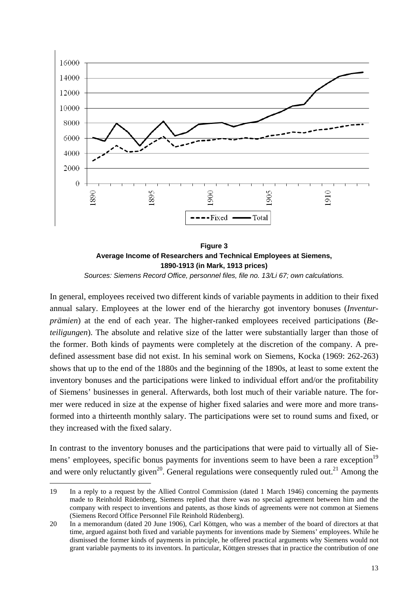

**Figure 3 Average Income of Researchers and Technical Employees at Siemens, 1890-1913 (in Mark, 1913 prices)** 

*Sources: Siemens Record Office, personnel files, file no. 13/Li 67; own calculations.* 

In general, employees received two different kinds of variable payments in addition to their fixed annual salary. Employees at the lower end of the hierarchy got inventory bonuses (*Inventurprämien*) at the end of each year. The higher-ranked employees received participations (*Beteiligungen*). The absolute and relative size of the latter were substantially larger than those of the former. Both kinds of payments were completely at the discretion of the company. A predefined assessment base did not exist. In his seminal work on Siemens, Kocka (1969: 262-263) shows that up to the end of the 1880s and the beginning of the 1890s, at least to some extent the inventory bonuses and the participations were linked to individual effort and/or the profitability of Siemens' businesses in general. Afterwards, both lost much of their variable nature. The former were reduced in size at the expense of higher fixed salaries and were more and more transformed into a thirteenth monthly salary. The participations were set to round sums and fixed, or they increased with the fixed salary.

In contrast to the inventory bonuses and the participations that were paid to virtually all of Siemens' employees, specific bonus payments for inventions seem to have been a rare exception<sup>19</sup> and were only reluctantly given<sup>20</sup>. General regulations were consequently ruled out.<sup>21</sup> Among the

j

<sup>19</sup> In a reply to a request by the Allied Control Commission (dated 1 March 1946) concerning the payments made to Reinhold Rüdenberg, Siemens replied that there was no special agreement between him and the company with respect to inventions and patents, as those kinds of agreements were not common at Siemens (Siemens Record Office Personnel File Reinhold Rüdenberg).

<sup>20</sup> In a memorandum (dated 20 June 1906), Carl Köttgen, who was a member of the board of directors at that time, argued against both fixed and variable payments for inventions made by Siemens' employees. While he dismissed the former kinds of payments in principle, he offered practical arguments why Siemens would not grant variable payments to its inventors. In particular, Köttgen stresses that in practice the contribution of one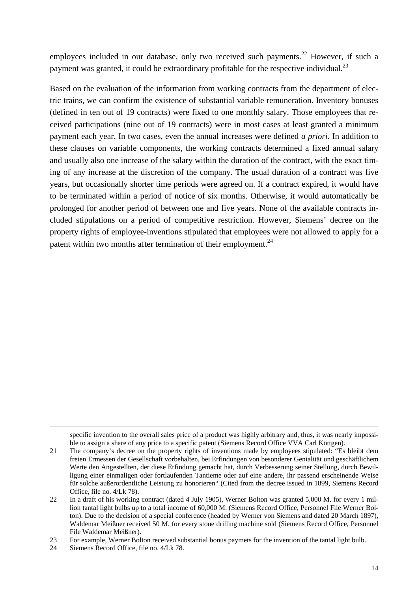employees included in our database, only two received such payments.<sup>22</sup> However, if such a payment was granted, it could be extraordinary profitable for the respective individual.<sup>23</sup>

Based on the evaluation of the information from working contracts from the department of electric trains, we can confirm the existence of substantial variable remuneration. Inventory bonuses (defined in ten out of 19 contracts) were fixed to one monthly salary. Those employees that received participations (nine out of 19 contracts) were in most cases at least granted a minimum payment each year. In two cases, even the annual increases were defined *a priori*. In addition to these clauses on variable components, the working contracts determined a fixed annual salary and usually also one increase of the salary within the duration of the contract, with the exact timing of any increase at the discretion of the company. The usual duration of a contract was five years, but occasionally shorter time periods were agreed on. If a contract expired, it would have to be terminated within a period of notice of six months. Otherwise, it would automatically be prolonged for another period of between one and five years. None of the available contracts included stipulations on a period of competitive restriction. However, Siemens' decree on the property rights of employee-inventions stipulated that employees were not allowed to apply for a patent within two months after termination of their employment. $24$ 

specific invention to the overall sales price of a product was highly arbitrary and, thus, it was nearly impossible to assign a share of any price to a specific patent (Siemens Record Office VVA Carl Köttgen).

 $\overline{a}$ 

<sup>21</sup> The company's decree on the property rights of inventions made by employees stipulated: "Es bleibt dem freien Ermessen der Gesellschaft vorbehalten, bei Erfindungen von besonderer Genialität und geschäftlichem Werte den Angestellten, der diese Erfindung gemacht hat, durch Verbesserung seiner Stellung, durch Bewilligung einer einmaligen oder fortlaufenden Tantieme oder auf eine andere, ihr passend erscheinende Weise für solche außerordentliche Leistung zu honorieren" (Cited from the decree issued in 1899, Siemens Record Office, file no. 4/Lk 78).

<sup>22</sup> In a draft of his working contract (dated 4 July 1905), Werner Bolton was granted 5,000 M. for every 1 million tantal light bulbs up to a total income of 60,000 M. (Siemens Record Office, Personnel File Werner Bolton). Due to the decision of a special conference (headed by Werner von Siemens and dated 20 March 1897), Waldemar Meißner received 50 M. for every stone drilling machine sold (Siemens Record Office, Personnel File Waldemar Meißner).

<sup>23</sup> For example, Werner Bolton received substantial bonus paymets for the invention of the tantal light bulb.

<sup>24</sup> Siemens Record Office, file no. 4/Lk 78.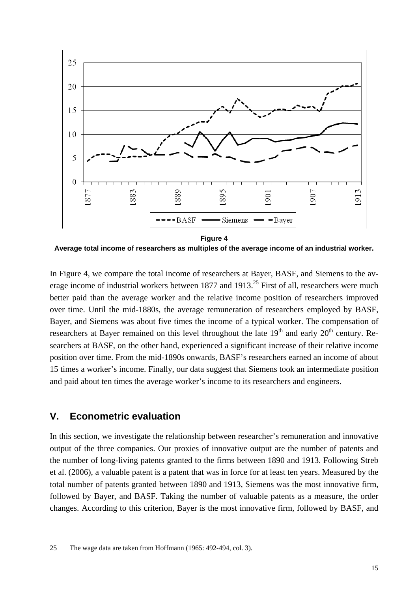

**Figure 4** 

**Average total income of researchers as multiples of the average income of an industrial worker.** 

In Figure 4, we compare the total income of researchers at Bayer, BASF, and Siemens to the average income of industrial workers between 1877 and 1913.<sup>25</sup> First of all, researchers were much better paid than the average worker and the relative income position of researchers improved over time. Until the mid-1880s, the average remuneration of researchers employed by BASF, Bayer, and Siemens was about five times the income of a typical worker. The compensation of researchers at Bayer remained on this level throughout the late  $19<sup>th</sup>$  and early  $20<sup>th</sup>$  century. Researchers at BASF, on the other hand, experienced a significant increase of their relative income position over time. From the mid-1890s onwards, BASF's researchers earned an income of about 15 times a worker's income. Finally, our data suggest that Siemens took an intermediate position and paid about ten times the average worker's income to its researchers and engineers.

#### **V. Econometric evaluation**

j

In this section, we investigate the relationship between researcher's remuneration and innovative output of the three companies. Our proxies of innovative output are the number of patents and the number of long-living patents granted to the firms between 1890 and 1913. Following Streb et al. (2006), a valuable patent is a patent that was in force for at least ten years. Measured by the total number of patents granted between 1890 and 1913, Siemens was the most innovative firm, followed by Bayer, and BASF. Taking the number of valuable patents as a measure, the order changes. According to this criterion, Bayer is the most innovative firm, followed by BASF, and

<sup>25</sup> The wage data are taken from Hoffmann (1965: 492-494, col. 3).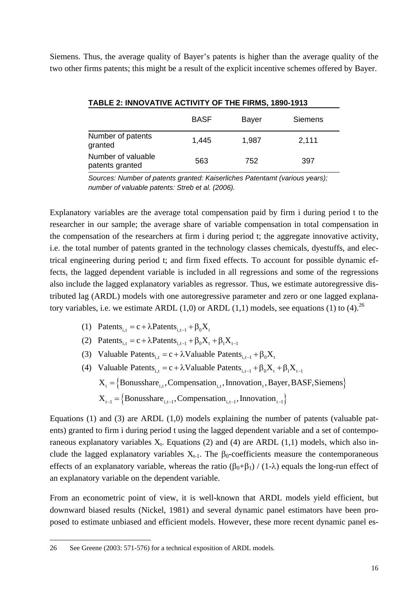Siemens. Thus, the average quality of Bayer's patents is higher than the average quality of the two other firms patents; this might be a result of the explicit incentive schemes offered by Bayer.

| TABLE 2. INNUVATIVE AUTIVITY OF THE FINING, 1090-1913 |             |              |                |  |
|-------------------------------------------------------|-------------|--------------|----------------|--|
|                                                       | <b>BASF</b> | <b>Bayer</b> | <b>Siemens</b> |  |
| Number of patents<br>granted                          | 1,445       | 1,987        | 2,111          |  |
| Number of valuable<br>patents granted                 | 563         | 752          | 397            |  |

**TABLE 2: INNOVATIVE ACTIVITY OF THE FIRMS, 1890-1913** 

*Sources: Number of patents granted: Kaiserliches Patentamt (various years); number of valuable patents: Streb et al. (2006).* 

Explanatory variables are the average total compensation paid by firm i during period t to the researcher in our sample; the average share of variable compensation in total compensation in the compensation of the researchers at firm i during period t; the aggregate innovative activity, i.e. the total number of patents granted in the technology classes chemicals, dyestuffs, and electrical engineering during period t; and firm fixed effects. To account for possible dynamic effects, the lagged dependent variable is included in all regressions and some of the regressions also include the lagged explanatory variables as regressor. Thus, we estimate autoregressive distributed lag (ARDL) models with one autoregressive parameter and zero or one lagged explanatory variables, i.e. we estimate ARDL  $(1,0)$  or ARDL  $(1,1)$  models, see equations  $(1)$  to  $(4)$ .<sup>26</sup>

- (1) Patents<sub>i,t</sub> = c +  $\lambda$ Patents<sub>i,t-1</sub> +  $\beta_0 X_t$
- (2) Patents<sub>i,t</sub> = c +  $\lambda$ Patents<sub>i,t-1</sub> +  $\beta_0 X_t$  +  $\beta_1 X_{t-1}$
- (3) Valuable Patents<sub>i,t</sub> = c +  $\lambda$ Valuable Patents<sub>i,t-1</sub> +  $\beta_0 X_t$
- (4) Valuable Patents<sub>i,t</sub> = c +  $\lambda$ Valuable Patents<sub>i,t-1</sub> +  $\beta_0 X_t$  +  $\beta_1 X_{t-1}$  $X_t = \{ \text{Bonusshare}_{i,t}, \text{Comparison}_{i,t}, \text{Innovation}_{t}, \text{Bayer}, \text{BASP}, \text{Siemens} \}$  $X_{t-1} = \{ \text{Bonusshare}_{i,t-1}, \text{Comparison}_{i,t-1}, \text{Innovation}_{t-1} \}$

Equations (1) and (3) are ARDL (1,0) models explaining the number of patents (valuable patents) granted to firm i during period t using the lagged dependent variable and a set of contemporaneous explanatory variables  $X_t$ . Equations (2) and (4) are ARDL (1,1) models, which also include the lagged explanatory variables  $X_{t-1}$ . The  $\beta_0$ -coefficients measure the contemporaneous effects of an explanatory variable, whereas the ratio  $(\beta_0 + \beta_1) / (1-\lambda)$  equals the long-run effect of an explanatory variable on the dependent variable.

From an econometric point of view, it is well-known that ARDL models yield efficient, but downward biased results (Nickel, 1981) and several dynamic panel estimators have been proposed to estimate unbiased and efficient models. However, these more recent dynamic panel es-

j

<sup>26</sup> See Greene (2003: 571-576) for a technical exposition of ARDL models.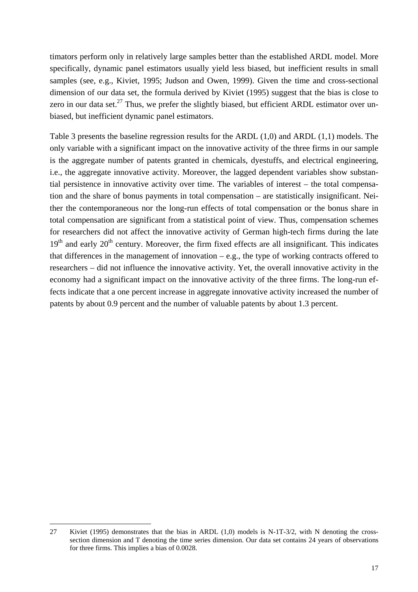timators perform only in relatively large samples better than the established ARDL model. More specifically, dynamic panel estimators usually yield less biased, but inefficient results in small samples (see, e.g., Kiviet, 1995; Judson and Owen, 1999). Given the time and cross-sectional dimension of our data set, the formula derived by Kiviet (1995) suggest that the bias is close to zero in our data set.<sup>27</sup> Thus, we prefer the slightly biased, but efficient ARDL estimator over unbiased, but inefficient dynamic panel estimators.

Table 3 presents the baseline regression results for the ARDL (1,0) and ARDL (1,1) models. The only variable with a significant impact on the innovative activity of the three firms in our sample is the aggregate number of patents granted in chemicals, dyestuffs, and electrical engineering, i.e., the aggregate innovative activity. Moreover, the lagged dependent variables show substantial persistence in innovative activity over time. The variables of interest – the total compensation and the share of bonus payments in total compensation – are statistically insignificant. Neither the contemporaneous nor the long-run effects of total compensation or the bonus share in total compensation are significant from a statistical point of view. Thus, compensation schemes for researchers did not affect the innovative activity of German high-tech firms during the late  $19<sup>th</sup>$  and early  $20<sup>th</sup>$  century. Moreover, the firm fixed effects are all insignificant. This indicates that differences in the management of innovation – e.g., the type of working contracts offered to researchers – did not influence the innovative activity. Yet, the overall innovative activity in the economy had a significant impact on the innovative activity of the three firms. The long-run effects indicate that a one percent increase in aggregate innovative activity increased the number of patents by about 0.9 percent and the number of valuable patents by about 1.3 percent.

-

<sup>27</sup> Kiviet (1995) demonstrates that the bias in ARDL (1,0) models is N-1T-3/2, with N denoting the crosssection dimension and T denoting the time series dimension. Our data set contains 24 years of observations for three firms. This implies a bias of 0.0028.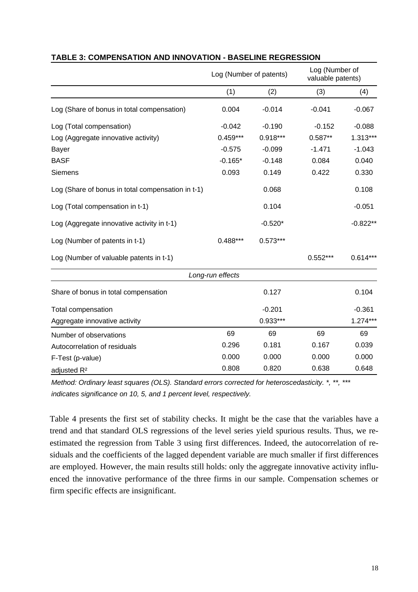|                                                   | Log (Number of patents) |            | Log (Number of<br>valuable patents) |            |
|---------------------------------------------------|-------------------------|------------|-------------------------------------|------------|
|                                                   | (1)                     | (2)        | (3)                                 | (4)        |
| Log (Share of bonus in total compensation)        | 0.004                   | $-0.014$   | $-0.041$                            | $-0.067$   |
| Log (Total compensation)                          | $-0.042$                | $-0.190$   | $-0.152$                            | $-0.088$   |
| Log (Aggregate innovative activity)               | $0.459***$              | $0.918***$ | $0.587**$                           | $1.313***$ |
| <b>Bayer</b>                                      | $-0.575$                | $-0.099$   | $-1.471$                            | $-1.043$   |
| <b>BASF</b>                                       | $-0.165*$               | $-0.148$   | 0.084                               | 0.040      |
| <b>Siemens</b>                                    | 0.093                   | 0.149      | 0.422                               | 0.330      |
| Log (Share of bonus in total compensation in t-1) |                         | 0.068      |                                     | 0.108      |
| Log (Total compensation in t-1)                   |                         | 0.104      |                                     | $-0.051$   |
| Log (Aggregate innovative activity in t-1)        |                         | $-0.520*$  |                                     | $-0.822**$ |
| Log (Number of patents in t-1)                    | $0.488***$              | $0.573***$ |                                     |            |
| Log (Number of valuable patents in t-1)           |                         |            | $0.552***$                          | $0.614***$ |
|                                                   | Long-run effects        |            |                                     |            |
| Share of bonus in total compensation              |                         | 0.127      |                                     | 0.104      |
| Total compensation                                |                         | $-0.201$   |                                     | $-0.361$   |
| Aggregate innovative activity                     |                         | 0.933***   |                                     | $1.274***$ |
| Number of observations                            | 69                      | 69         | 69                                  | 69         |
| Autocorrelation of residuals                      | 0.296                   | 0.181      | 0.167                               | 0.039      |
| F-Test (p-value)                                  | 0.000                   | 0.000      | 0.000                               | 0.000      |
| adjusted R <sup>2</sup>                           | 0.808                   | 0.820      | 0.638                               | 0.648      |

#### **TABLE 3: COMPENSATION AND INNOVATION - BASELINE REGRESSION**

*Method: Ordinary least squares (OLS). Standard errors corrected for heteroscedasticity. \*, \*\*, \*\*\* indicates significance on 10, 5, and 1 percent level, respectively.* 

Table 4 presents the first set of stability checks. It might be the case that the variables have a trend and that standard OLS regressions of the level series yield spurious results. Thus, we reestimated the regression from Table 3 using first differences. Indeed, the autocorrelation of residuals and the coefficients of the lagged dependent variable are much smaller if first differences are employed. However, the main results still holds: only the aggregate innovative activity influenced the innovative performance of the three firms in our sample. Compensation schemes or firm specific effects are insignificant.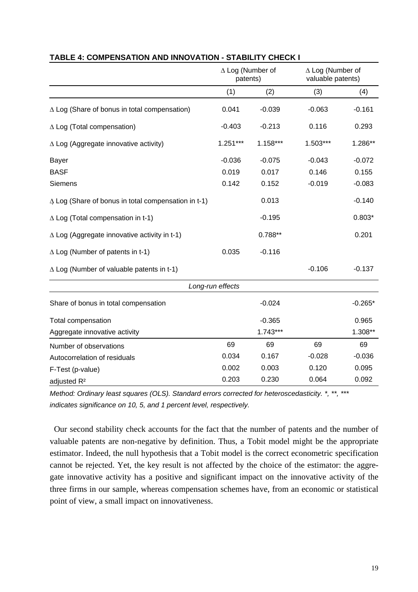|                                                        | $\Delta$ Log (Number of<br>patents) |            | $\Delta$ Log (Number of<br>valuable patents) |           |
|--------------------------------------------------------|-------------------------------------|------------|----------------------------------------------|-----------|
|                                                        | (1)                                 | (2)        | (3)                                          | (4)       |
| ∆ Log (Share of bonus in total compensation)           | 0.041                               | $-0.039$   | $-0.063$                                     | $-0.161$  |
| $\triangle$ Log (Total compensation)                   | $-0.403$                            | $-0.213$   | 0.116                                        | 0.293     |
| $\triangle$ Log (Aggregate innovative activity)        | $1.251***$                          | $1.158***$ | 1.503***                                     | 1.286**   |
| <b>Bayer</b>                                           | $-0.036$                            | $-0.075$   | $-0.043$                                     | $-0.072$  |
| <b>BASF</b>                                            | 0.019                               | 0.017      | 0.146                                        | 0.155     |
| <b>Siemens</b>                                         | 0.142                               | 0.152      | $-0.019$                                     | $-0.083$  |
| 4 Log (Share of bonus in total compensation in t-1)    |                                     | 0.013      |                                              | $-0.140$  |
| $\Delta$ Log (Total compensation in t-1)               |                                     | $-0.195$   |                                              | $0.803*$  |
| $\triangle$ Log (Aggregate innovative activity in t-1) |                                     | 0.788**    |                                              | 0.201     |
| $\Delta$ Log (Number of patents in t-1)                | 0.035                               | $-0.116$   |                                              |           |
| $\Delta$ Log (Number of valuable patents in t-1)       |                                     |            | $-0.106$                                     | $-0.137$  |
|                                                        | Long-run effects                    |            |                                              |           |
| Share of bonus in total compensation                   |                                     | $-0.024$   |                                              | $-0.265*$ |
| Total compensation                                     |                                     | $-0.365$   |                                              | 0.965     |
| Aggregate innovative activity                          |                                     | $1.743***$ |                                              | 1.308**   |
| Number of observations                                 | 69                                  | 69         | 69                                           | 69        |
| Autocorrelation of residuals                           | 0.034                               | 0.167      | $-0.028$                                     | $-0.036$  |
| F-Test (p-value)                                       | 0.002                               | 0.003      | 0.120                                        | 0.095     |
| adjusted R <sup>2</sup>                                | 0.203                               | 0.230      | 0.064                                        | 0.092     |

#### **TABLE 4: COMPENSATION AND INNOVATION - STABILITY CHECK I**

*Method: Ordinary least squares (OLS). Standard errors corrected for heteroscedasticity. \*, \*\*, \*\*\* indicates significance on 10, 5, and 1 percent level, respectively.* 

 Our second stability check accounts for the fact that the number of patents and the number of valuable patents are non-negative by definition. Thus, a Tobit model might be the appropriate estimator. Indeed, the null hypothesis that a Tobit model is the correct econometric specification cannot be rejected. Yet, the key result is not affected by the choice of the estimator: the aggregate innovative activity has a positive and significant impact on the innovative activity of the three firms in our sample, whereas compensation schemes have, from an economic or statistical point of view, a small impact on innovativeness.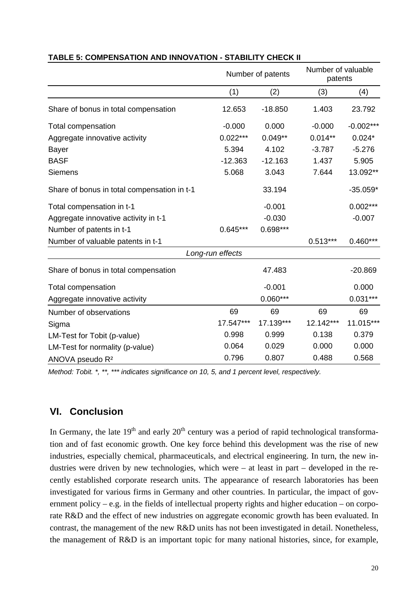|                                             | Number of patents |            | Number of valuable<br>patents |             |
|---------------------------------------------|-------------------|------------|-------------------------------|-------------|
|                                             | (1)               | (2)        | (3)                           | (4)         |
| Share of bonus in total compensation        | 12.653            | $-18.850$  | 1.403                         | 23.792      |
| <b>Total compensation</b>                   | $-0.000$          | 0.000      | $-0.000$                      | $-0.002***$ |
| Aggregate innovative activity               | $0.022***$        | $0.049**$  | $0.014**$                     | $0.024*$    |
| <b>Bayer</b>                                | 5.394             | 4.102      | $-3.787$                      | $-5.276$    |
| <b>BASF</b>                                 | $-12.363$         | $-12.163$  | 1.437                         | 5.905       |
| <b>Siemens</b>                              | 5.068             | 3.043      | 7.644                         | 13.092**    |
| Share of bonus in total compensation in t-1 |                   | 33.194     |                               | $-35.059*$  |
| Total compensation in t-1                   |                   | $-0.001$   |                               | $0.002***$  |
| Aggregate innovative activity in t-1        |                   | $-0.030$   |                               | $-0.007$    |
| Number of patents in t-1                    | $0.645***$        | $0.698***$ |                               |             |
| Number of valuable patents in t-1           |                   |            | $0.513***$                    | $0.460***$  |
|                                             | Long-run effects  |            |                               |             |
| Share of bonus in total compensation        |                   | 47.483     |                               | $-20.869$   |
| <b>Total compensation</b>                   |                   | $-0.001$   |                               | 0.000       |
| Aggregate innovative activity               |                   | $0.060***$ |                               | $0.031***$  |
| Number of observations                      | 69                | 69         | 69                            | 69          |
| Sigma                                       | 17.547***         | 17.139***  | 12.142***                     | 11.015***   |
| LM-Test for Tobit (p-value)                 | 0.998             | 0.999      | 0.138                         | 0.379       |
| LM-Test for normality (p-value)             | 0.064             | 0.029      | 0.000                         | 0.000       |
| ANOVA pseudo R <sup>2</sup>                 | 0.796             | 0.807      | 0.488                         | 0.568       |

#### **TABLE 5: COMPENSATION AND INNOVATION - STABILITY CHECK II**

*Method: Tobit. \*, \*\*, \*\*\* indicates significance on 10, 5, and 1 percent level, respectively.* 

### **VI. Conclusion**

In Germany, the late  $19<sup>th</sup>$  and early  $20<sup>th</sup>$  century was a period of rapid technological transformation and of fast economic growth. One key force behind this development was the rise of new industries, especially chemical, pharmaceuticals, and electrical engineering. In turn, the new industries were driven by new technologies, which were – at least in part – developed in the recently established corporate research units. The appearance of research laboratories has been investigated for various firms in Germany and other countries. In particular, the impact of government policy – e.g. in the fields of intellectual property rights and higher education – on corporate R&D and the effect of new industries on aggregate economic growth has been evaluated. In contrast, the management of the new R&D units has not been investigated in detail. Nonetheless, the management of R&D is an important topic for many national histories, since, for example,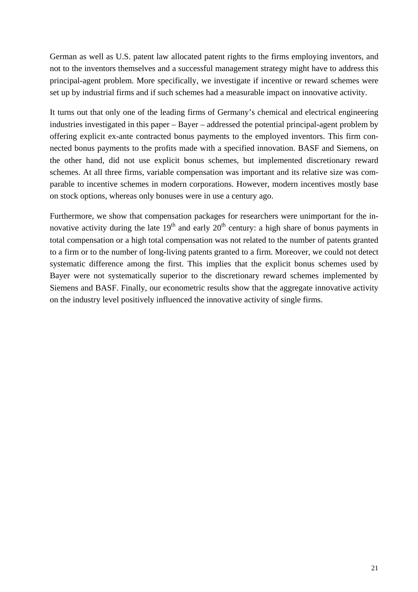German as well as U.S. patent law allocated patent rights to the firms employing inventors, and not to the inventors themselves and a successful management strategy might have to address this principal-agent problem. More specifically, we investigate if incentive or reward schemes were set up by industrial firms and if such schemes had a measurable impact on innovative activity.

It turns out that only one of the leading firms of Germany's chemical and electrical engineering industries investigated in this paper – Bayer – addressed the potential principal-agent problem by offering explicit ex-ante contracted bonus payments to the employed inventors. This firm connected bonus payments to the profits made with a specified innovation. BASF and Siemens, on the other hand, did not use explicit bonus schemes, but implemented discretionary reward schemes. At all three firms, variable compensation was important and its relative size was comparable to incentive schemes in modern corporations. However, modern incentives mostly base on stock options, whereas only bonuses were in use a century ago.

Furthermore, we show that compensation packages for researchers were unimportant for the innovative activity during the late  $19<sup>th</sup>$  and early  $20<sup>th</sup>$  century: a high share of bonus payments in total compensation or a high total compensation was not related to the number of patents granted to a firm or to the number of long-living patents granted to a firm. Moreover, we could not detect systematic difference among the first. This implies that the explicit bonus schemes used by Bayer were not systematically superior to the discretionary reward schemes implemented by Siemens and BASF. Finally, our econometric results show that the aggregate innovative activity on the industry level positively influenced the innovative activity of single firms.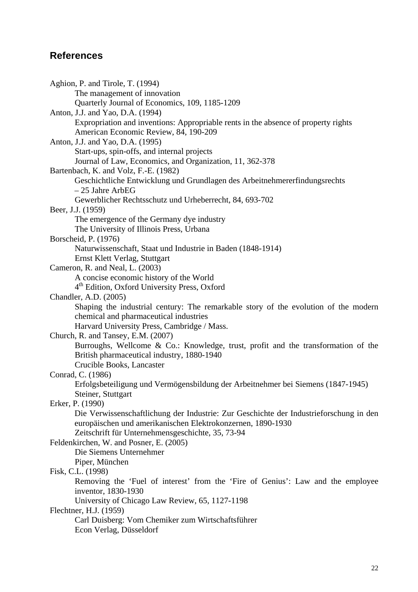# **References**

| Aghion, P. and Tirole, T. (1994)                                                       |
|----------------------------------------------------------------------------------------|
| The management of innovation                                                           |
| Quarterly Journal of Economics, 109, 1185-1209                                         |
| Anton, J.J. and Yao, D.A. (1994)                                                       |
| Expropriation and inventions: Appropriable rents in the absence of property rights     |
| American Economic Review, 84, 190-209                                                  |
| Anton, J.J. and Yao, D.A. (1995)                                                       |
| Start-ups, spin-offs, and internal projects                                            |
| Journal of Law, Economics, and Organization, 11, 362-378                               |
| Bartenbach, K. and Volz, F.-E. (1982)                                                  |
| Geschichtliche Entwicklung und Grundlagen des Arbeitnehmererfindungsrechts             |
| $-25$ Jahre ArbEG                                                                      |
| Gewerblicher Rechtsschutz und Urheberrecht, 84, 693-702                                |
| Beer, J.J. (1959)                                                                      |
| The emergence of the Germany dye industry                                              |
| The University of Illinois Press, Urbana                                               |
| Borscheid, P. (1976)                                                                   |
| Naturwissenschaft, Staat und Industrie in Baden (1848-1914)                            |
| Ernst Klett Verlag, Stuttgart                                                          |
| Cameron, R. and Neal, L. (2003)                                                        |
| A concise economic history of the World                                                |
| 4 <sup>th</sup> Edition, Oxford University Press, Oxford                               |
| Chandler, A.D. (2005)                                                                  |
| Shaping the industrial century: The remarkable story of the evolution of the modern    |
| chemical and pharmaceutical industries                                                 |
| Harvard University Press, Cambridge / Mass.                                            |
| Church, R. and Tansey, E.M. (2007)                                                     |
| Burroughs, Wellcome & Co.: Knowledge, trust, profit and the transformation of the      |
| British pharmaceutical industry, 1880-1940                                             |
| Crucible Books, Lancaster                                                              |
| Conrad, C. (1986)                                                                      |
| Erfolgsbeteiligung und Vermögensbildung der Arbeitnehmer bei Siemens (1847-1945)       |
| Steiner, Stuttgart                                                                     |
| Erker, P. (1990)                                                                       |
| Die Verwissenschaftlichung der Industrie: Zur Geschichte der Industrieforschung in den |
| europäischen und amerikanischen Elektrokonzernen, 1890-1930                            |
| Zeitschrift für Unternehmensgeschichte, 35, 73-94                                      |
| Feldenkirchen, W. and Posner, E. (2005)                                                |
| Die Siemens Unternehmer                                                                |
| Piper, München                                                                         |
| Fisk, C.L. (1998)                                                                      |
| Removing the 'Fuel of interest' from the 'Fire of Genius': Law and the employee        |
| inventor, 1830-1930                                                                    |
| University of Chicago Law Review, 65, 1127-1198                                        |
| Flechtner, H.J. (1959)                                                                 |
| Carl Duisberg: Vom Chemiker zum Wirtschaftsführer                                      |
| Econ Verlag, Düsseldorf                                                                |
|                                                                                        |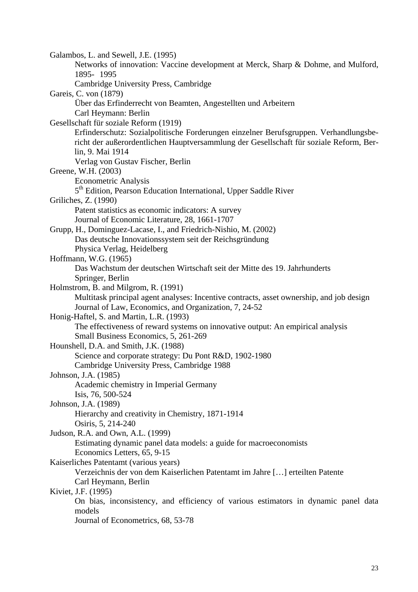Galambos, L. and Sewell, J.E. (1995) Networks of innovation: Vaccine development at Merck, Sharp & Dohme, and Mulford, 1895- 1995 Cambridge University Press, Cambridge Gareis, C. von (1879) Über das Erfinderrecht von Beamten, Angestellten und Arbeitern Carl Heymann: Berlin Gesellschaft für soziale Reform (1919) Erfinderschutz: Sozialpolitische Forderungen einzelner Berufsgruppen. Verhandlungsbericht der außerordentlichen Hauptversammlung der Gesellschaft für soziale Reform, Berlin, 9. Mai 1914 Verlag von Gustav Fischer, Berlin Greene, W.H. (2003) Econometric Analysis 5<sup>th</sup> Edition, Pearson Education International, Upper Saddle River Griliches, Z. (1990) Patent statistics as economic indicators: A survey Journal of Economic Literature, 28, 1661-1707 Grupp, H., Dominguez-Lacase, I., and Friedrich-Nishio, M. (2002) Das deutsche Innovationssystem seit der Reichsgründung Physica Verlag, Heidelberg Hoffmann, W.G. (1965) Das Wachstum der deutschen Wirtschaft seit der Mitte des 19. Jahrhunderts Springer, Berlin Holmstrom, B. and Milgrom, R. (1991) Multitask principal agent analyses: Incentive contracts, asset ownership, and job design Journal of Law, Economics, and Organization, 7, 24-52 Honig-Haftel, S. and Martin, L.R. (1993) The effectiveness of reward systems on innovative output: An empirical analysis Small Business Economics, 5, 261-269 Hounshell, D.A. and Smith, J.K. (1988) Science and corporate strategy: Du Pont R&D, 1902-1980 Cambridge University Press, Cambridge 1988 Johnson, J.A. (1985) Academic chemistry in Imperial Germany Isis, 76, 500-524 Johnson, J.A. (1989) Hierarchy and creativity in Chemistry, 1871-1914 Osiris, 5, 214-240 Judson, R.A. and Own, A.L. (1999) Estimating dynamic panel data models: a guide for macroeconomists Economics Letters, 65, 9-15 Kaiserliches Patentamt (various years) Verzeichnis der von dem Kaiserlichen Patentamt im Jahre […] erteilten Patente Carl Heymann, Berlin Kiviet, J.F. (1995) On bias, inconsistency, and efficiency of various estimators in dynamic panel data models Journal of Econometrics, 68, 53-78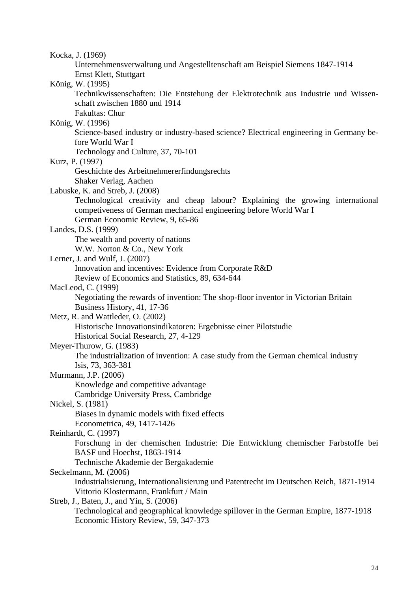Kocka, J. (1969) Unternehmensverwaltung und Angestelltenschaft am Beispiel Siemens 1847-1914 Ernst Klett, Stuttgart König, W. (1995) Technikwissenschaften: Die Entstehung der Elektrotechnik aus Industrie und Wissenschaft zwischen 1880 und 1914 Fakultas: Chur König, W. (1996) Science-based industry or industry-based science? Electrical engineering in Germany before World War I Technology and Culture, 37, 70-101 Kurz, P. (1997) Geschichte des Arbeitnehmererfindungsrechts Shaker Verlag, Aachen Labuske, K. and Streb, J. (2008) Technological creativity and cheap labour? Explaining the growing international competiveness of German mechanical engineering before World War I German Economic Review, 9, 65-86 Landes, D.S. (1999) The wealth and poverty of nations W.W. Norton & Co., New York Lerner, J. and Wulf, J. (2007) Innovation and incentives: Evidence from Corporate R&D Review of Economics and Statistics, 89, 634-644 MacLeod, C. (1999) Negotiating the rewards of invention: The shop-floor inventor in Victorian Britain Business History, 41, 17-36 Metz, R. and Wattleder, O. (2002) Historische Innovationsindikatoren: Ergebnisse einer Pilotstudie Historical Social Research, 27, 4-129 Meyer-Thurow, G. (1983) The industrialization of invention: A case study from the German chemical industry Isis, 73, 363-381 Murmann, J.P. (2006) Knowledge and competitive advantage Cambridge University Press, Cambridge Nickel, S. (1981) Biases in dynamic models with fixed effects Econometrica, 49, 1417-1426 Reinhardt, C. (1997) Forschung in der chemischen Industrie: Die Entwicklung chemischer Farbstoffe bei BASF und Hoechst, 1863-1914 Technische Akademie der Bergakademie Seckelmann, M. (2006) Industrialisierung, Internationalisierung und Patentrecht im Deutschen Reich, 1871-1914 Vittorio Klostermann, Frankfurt / Main Streb, J., Baten, J., and Yin, S. (2006) Technological and geographical knowledge spillover in the German Empire, 1877-1918 Economic History Review, 59, 347-373